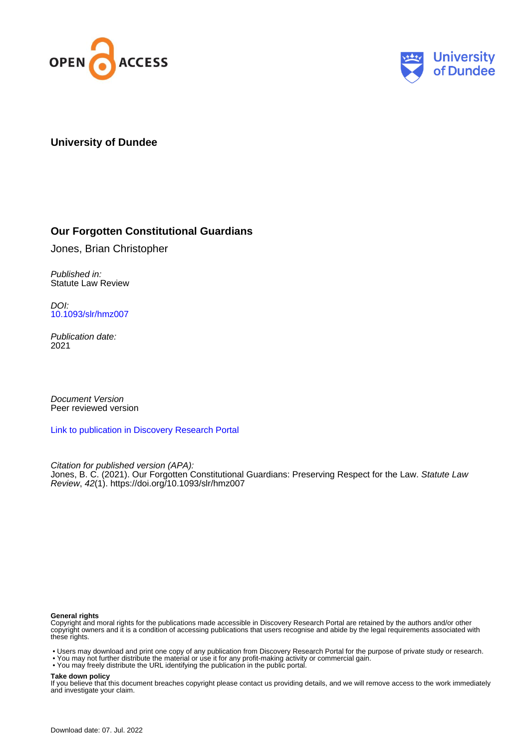



## **University of Dundee**

# **Our Forgotten Constitutional Guardians**

Jones, Brian Christopher

Published in: Statute Law Review

DOI: [10.1093/slr/hmz007](https://doi.org/10.1093/slr/hmz007)

Publication date: 2021

Document Version Peer reviewed version

[Link to publication in Discovery Research Portal](https://discovery.dundee.ac.uk/en/publications/2c81eeea-3f02-44bc-a672-ad1abe3f2f50)

Citation for published version (APA): Jones, B. C. (2021). Our Forgotten Constitutional Guardians: Preserving Respect for the Law. Statute Law Review, 42(1).<https://doi.org/10.1093/slr/hmz007>

#### **General rights**

Copyright and moral rights for the publications made accessible in Discovery Research Portal are retained by the authors and/or other copyright owners and it is a condition of accessing publications that users recognise and abide by the legal requirements associated with these rights.

- Users may download and print one copy of any publication from Discovery Research Portal for the purpose of private study or research.
- You may not further distribute the material or use it for any profit-making activity or commercial gain.
- You may freely distribute the URL identifying the publication in the public portal.

#### **Take down policy**

If you believe that this document breaches copyright please contact us providing details, and we will remove access to the work immediately and investigate your claim.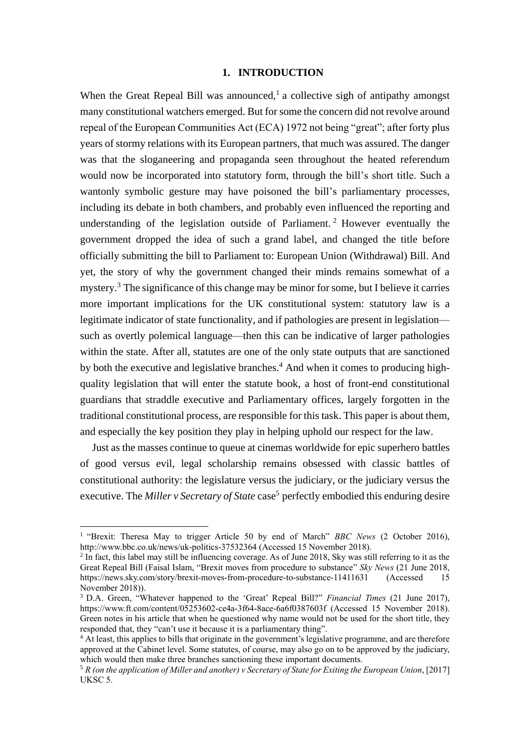## **1. INTRODUCTION**

When the Great Repeal Bill was announced,<sup>1</sup> a collective sigh of antipathy amongst many constitutional watchers emerged. But for some the concern did not revolve around repeal of the European Communities Act (ECA) 1972 not being "great"; after forty plus years of stormy relations with its European partners, that much was assured. The danger was that the sloganeering and propaganda seen throughout the heated referendum would now be incorporated into statutory form, through the bill's short title. Such a wantonly symbolic gesture may have poisoned the bill's parliamentary processes, including its debate in both chambers, and probably even influenced the reporting and understanding of the legislation outside of Parliament.<sup>2</sup> However eventually the government dropped the idea of such a grand label, and changed the title before officially submitting the bill to Parliament to: European Union (Withdrawal) Bill. And yet, the story of why the government changed their minds remains somewhat of a mystery.<sup>3</sup> The significance of this change may be minor for some, but I believe it carries more important implications for the UK constitutional system: statutory law is a legitimate indicator of state functionality, and if pathologies are present in legislation such as overtly polemical language—then this can be indicative of larger pathologies within the state. After all, statutes are one of the only state outputs that are sanctioned by both the executive and legislative branches.<sup>4</sup> And when it comes to producing highquality legislation that will enter the statute book, a host of front-end constitutional guardians that straddle executive and Parliamentary offices, largely forgotten in the traditional constitutional process, are responsible for this task. This paper is about them, and especially the key position they play in helping uphold our respect for the law.

Just as the masses continue to queue at cinemas worldwide for epic superhero battles of good versus evil, legal scholarship remains obsessed with classic battles of constitutional authority: the legislature versus the judiciary, or the judiciary versus the executive. The *Miller v Secretary of State* case <sup>5</sup> perfectly embodied this enduring desire

<sup>&</sup>lt;sup>1</sup> "Brexit: Theresa May to trigger Article 50 by end of March" *BBC News* (2 October 2016), http://www.bbc.co.uk/news/uk-politics-37532364 (Accessed 15 November 2018).

<sup>&</sup>lt;sup>2</sup> In fact, this label may still be influencing coverage. As of June 2018, Sky was still referring to it as the Great Repeal Bill (Faisal Islam, "Brexit moves from procedure to substance" *Sky News* (21 June 2018, https://news.sky.com/story/brexit-moves-from-procedure-to-substance-11411631 (Accessed 15 November 2018)).

<sup>3</sup> D.A. Green, "Whatever happened to the 'Great' Repeal Bill?" *Financial Times* (21 June 2017), https://www.ft.com/content/05253602-ce4a-3f64-8ace-6a6f0387603f (Accessed 15 November 2018). Green notes in his article that when he questioned why name would not be used for the short title, they responded that, they "can't use it because it is a parliamentary thing".

<sup>4</sup> At least, this applies to bills that originate in the government's legislative programme, and are therefore approved at the Cabinet level. Some statutes, of course, may also go on to be approved by the judiciary, which would then make three branches sanctioning these important documents.

<sup>5</sup> *R (on the application of Miller and another) v Secretary of State for Exiting the European Union*, [2017] UKSC 5.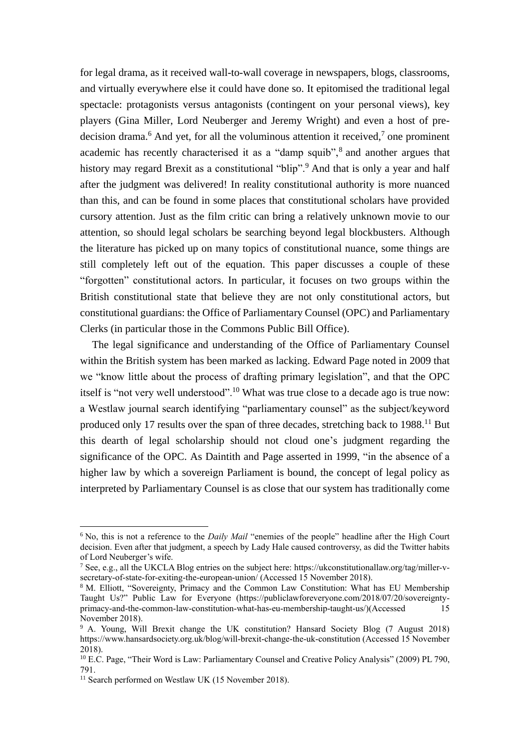for legal drama, as it received wall-to-wall coverage in newspapers, blogs, classrooms, and virtually everywhere else it could have done so. It epitomised the traditional legal spectacle: protagonists versus antagonists (contingent on your personal views), key players (Gina Miller, Lord Neuberger and Jeremy Wright) and even a host of predecision drama.<sup>6</sup> And yet, for all the voluminous attention it received,<sup>7</sup> one prominent academic has recently characterised it as a "damp squib",<sup>8</sup> and another argues that history may regard Brexit as a constitutional "blip".<sup>9</sup> And that is only a year and half after the judgment was delivered! In reality constitutional authority is more nuanced than this, and can be found in some places that constitutional scholars have provided cursory attention. Just as the film critic can bring a relatively unknown movie to our attention, so should legal scholars be searching beyond legal blockbusters. Although the literature has picked up on many topics of constitutional nuance, some things are still completely left out of the equation. This paper discusses a couple of these "forgotten" constitutional actors. In particular, it focuses on two groups within the British constitutional state that believe they are not only constitutional actors, but constitutional guardians: the Office of Parliamentary Counsel (OPC) and Parliamentary Clerks (in particular those in the Commons Public Bill Office).

The legal significance and understanding of the Office of Parliamentary Counsel within the British system has been marked as lacking. Edward Page noted in 2009 that we "know little about the process of drafting primary legislation", and that the OPC itself is "not very well understood".<sup>10</sup> What was true close to a decade ago is true now: a Westlaw journal search identifying "parliamentary counsel" as the subject/keyword produced only 17 results over the span of three decades, stretching back to 1988.<sup>11</sup> But this dearth of legal scholarship should not cloud one's judgment regarding the significance of the OPC. As Daintith and Page asserted in 1999, "in the absence of a higher law by which a sovereign Parliament is bound, the concept of legal policy as interpreted by Parliamentary Counsel is as close that our system has traditionally come

<sup>6</sup> No, this is not a reference to the *Daily Mail* "enemies of the people" headline after the High Court decision. Even after that judgment, a speech by Lady Hale caused controversy, as did the Twitter habits of Lord Neuberger's wife.

<sup>7</sup> See, e.g., all the UKCLA Blog entries on the subject here: https://ukconstitutionallaw.org/tag/miller-vsecretary-of-state-for-exiting-the-european-union/ (Accessed 15 November 2018).

<sup>&</sup>lt;sup>8</sup> M. Elliott, "Sovereignty, Primacy and the Common Law Constitution: What has EU Membership Taught Us?" Public Law for Everyone (https://publiclawforeveryone.com/2018/07/20/sovereigntyprimacy-and-the-common-law-constitution-what-has-eu-membership-taught-us/)(Accessed 15 November 2018).

<sup>9</sup> A. Young, Will Brexit change the UK constitution? Hansard Society Blog (7 August 2018) https://www.hansardsociety.org.uk/blog/will-brexit-change-the-uk-constitution (Accessed 15 November 2018).

<sup>10</sup> E.C. Page, "Their Word is Law: Parliamentary Counsel and Creative Policy Analysis" (2009) PL 790, 791.

<sup>&</sup>lt;sup>11</sup> Search performed on Westlaw UK (15 November 2018).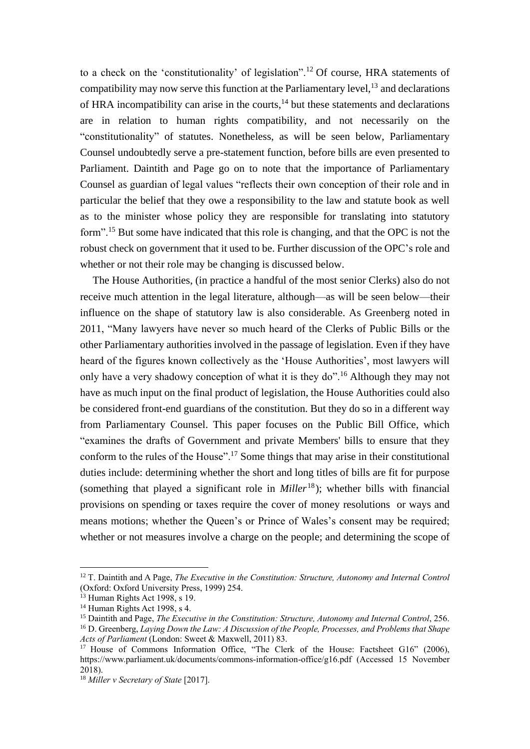to a check on the 'constitutionality' of legislation".<sup>12</sup> Of course, HRA statements of compatibility may now serve this function at the Parliamentary level,  $^{13}$  and declarations of HRA incompatibility can arise in the courts, $14$  but these statements and declarations are in relation to human rights compatibility, and not necessarily on the "constitutionality" of statutes. Nonetheless, as will be seen below, Parliamentary Counsel undoubtedly serve a pre-statement function, before bills are even presented to Parliament. Daintith and Page go on to note that the importance of Parliamentary Counsel as guardian of legal values "reflects their own conception of their role and in particular the belief that they owe a responsibility to the law and statute book as well as to the minister whose policy they are responsible for translating into statutory form".<sup>15</sup> But some have indicated that this role is changing, and that the OPC is not the robust check on government that it used to be. Further discussion of the OPC's role and whether or not their role may be changing is discussed below.

The House Authorities, (in practice a handful of the most senior Clerks) also do not receive much attention in the legal literature, although—as will be seen below—their influence on the shape of statutory law is also considerable. As Greenberg noted in 2011, "Many lawyers have never so much heard of the Clerks of Public Bills or the other Parliamentary authorities involved in the passage of legislation. Even if they have heard of the figures known collectively as the 'House Authorities', most lawyers will only have a very shadowy conception of what it is they do".<sup>16</sup> Although they may not have as much input on the final product of legislation, the House Authorities could also be considered front-end guardians of the constitution. But they do so in a different way from Parliamentary Counsel. This paper focuses on the Public Bill Office, which "examines the drafts of Government and private Members' bills to ensure that they conform to the rules of the House".<sup>17</sup> Some things that may arise in their constitutional duties include: determining whether the short and long titles of bills are fit for purpose (something that played a significant role in *Miller*<sup>18</sup>); whether bills with financial provisions on spending or taxes require the cover of money resolutions or ways and means motions; whether the Queen's or Prince of Wales's consent may be required; whether or not measures involve a charge on the people; and determining the scope of

<sup>12</sup> T. Daintith and A Page, *The Executive in the Constitution: Structure, Autonomy and Internal Control* (Oxford: Oxford University Press, 1999) 254.

 $13$  Human Rights Act 1998, s 19.

<sup>&</sup>lt;sup>14</sup> Human Rights Act 1998, s 4.

<sup>&</sup>lt;sup>15</sup> Daintith and Page, *The Executive in the Constitution: Structure, Autonomy and Internal Control*, 256. <sup>16</sup> D. Greenberg, *Laying Down the Law: A Discussion of the People, Processes, and Problems that Shape Acts of Parliament* (London: Sweet & Maxwell, 2011) 83.

<sup>&</sup>lt;sup>17</sup> House of Commons Information Office, "The Clerk of the House: Factsheet G16" (2006), https://www.parliament.uk/documents/commons-information-office/g16.pdf (Accessed 15 November 2018).

<sup>18</sup> *Miller v Secretary of State* [2017].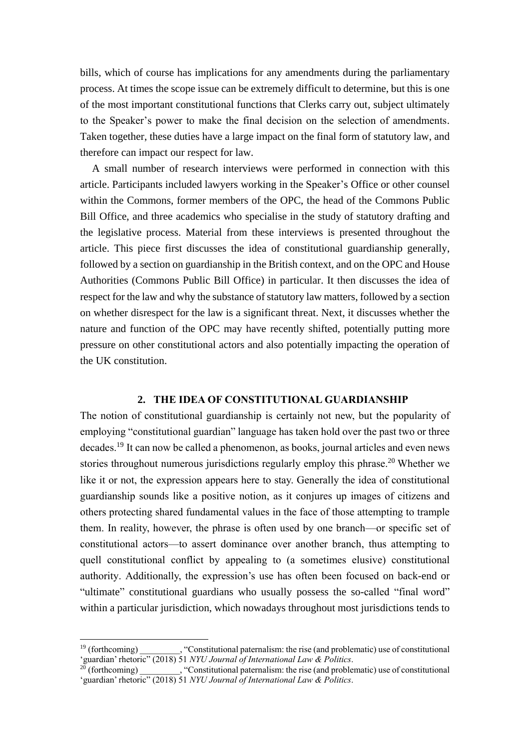bills, which of course has implications for any amendments during the parliamentary process. At times the scope issue can be extremely difficult to determine, but this is one of the most important constitutional functions that Clerks carry out, subject ultimately to the Speaker's power to make the final decision on the selection of amendments. Taken together, these duties have a large impact on the final form of statutory law, and therefore can impact our respect for law.

A small number of research interviews were performed in connection with this article. Participants included lawyers working in the Speaker's Office or other counsel within the Commons, former members of the OPC, the head of the Commons Public Bill Office, and three academics who specialise in the study of statutory drafting and the legislative process. Material from these interviews is presented throughout the article. This piece first discusses the idea of constitutional guardianship generally, followed by a section on guardianship in the British context, and on the OPC and House Authorities (Commons Public Bill Office) in particular. It then discusses the idea of respect for the law and why the substance of statutory law matters, followed by a section on whether disrespect for the law is a significant threat. Next, it discusses whether the nature and function of the OPC may have recently shifted, potentially putting more pressure on other constitutional actors and also potentially impacting the operation of the UK constitution.

## **2. THE IDEA OF CONSTITUTIONAL GUARDIANSHIP**

The notion of constitutional guardianship is certainly not new, but the popularity of employing "constitutional guardian" language has taken hold over the past two or three decades.<sup>19</sup> It can now be called a phenomenon, as books, journal articles and even news stories throughout numerous jurisdictions regularly employ this phrase.<sup>20</sup> Whether we like it or not, the expression appears here to stay. Generally the idea of constitutional guardianship sounds like a positive notion, as it conjures up images of citizens and others protecting shared fundamental values in the face of those attempting to trample them. In reality, however, the phrase is often used by one branch—or specific set of constitutional actors—to assert dominance over another branch, thus attempting to quell constitutional conflict by appealing to (a sometimes elusive) constitutional authority. Additionally, the expression's use has often been focused on back-end or "ultimate" constitutional guardians who usually possess the so-called "final word" within a particular jurisdiction, which nowadays throughout most jurisdictions tends to

<sup>&</sup>lt;sup>19</sup> (forthcoming)  $\ddot{\text{...}}$ , "Constitutional paternalism: the rise (and problematic) use of constitutional 'guardian' rhetoric" (2018) 51 *NYU Journal of International Law & Politics*.

<sup>&</sup>lt;sup>20</sup> (forthcoming)  $\sim$  , "Constitutional paternalism: the rise (and problematic) use of constitutional 'guardian' rhetoric" (2018) 51 *NYU Journal of International Law & Politics*.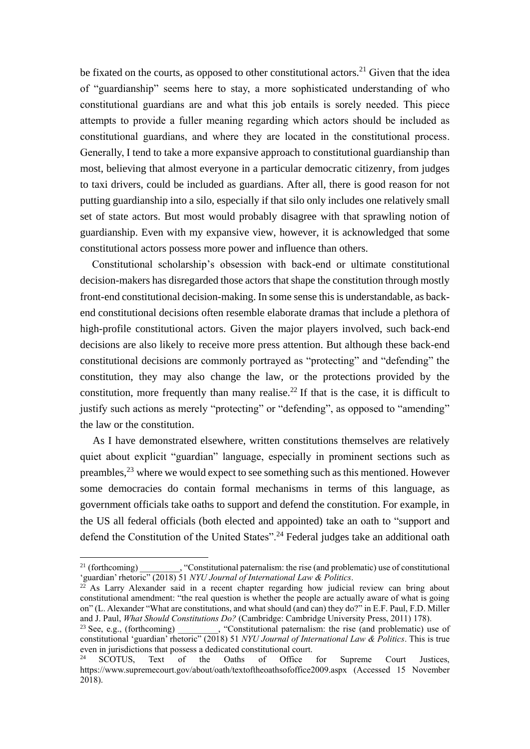be fixated on the courts, as opposed to other constitutional actors.<sup>21</sup> Given that the idea of "guardianship" seems here to stay, a more sophisticated understanding of who constitutional guardians are and what this job entails is sorely needed. This piece attempts to provide a fuller meaning regarding which actors should be included as constitutional guardians, and where they are located in the constitutional process. Generally, I tend to take a more expansive approach to constitutional guardianship than most, believing that almost everyone in a particular democratic citizenry, from judges to taxi drivers, could be included as guardians. After all, there is good reason for not putting guardianship into a silo, especially if that silo only includes one relatively small set of state actors. But most would probably disagree with that sprawling notion of guardianship. Even with my expansive view, however, it is acknowledged that some constitutional actors possess more power and influence than others.

Constitutional scholarship's obsession with back-end or ultimate constitutional decision-makers has disregarded those actors that shape the constitution through mostly front-end constitutional decision-making. In some sense this is understandable, as backend constitutional decisions often resemble elaborate dramas that include a plethora of high-profile constitutional actors. Given the major players involved, such back-end decisions are also likely to receive more press attention. But although these back-end constitutional decisions are commonly portrayed as "protecting" and "defending" the constitution, they may also change the law, or the protections provided by the constitution, more frequently than many realise.<sup>22</sup> If that is the case, it is difficult to justify such actions as merely "protecting" or "defending", as opposed to "amending" the law or the constitution.

As I have demonstrated elsewhere, written constitutions themselves are relatively quiet about explicit "guardian" language, especially in prominent sections such as preambles,  $2<sup>3</sup>$  where we would expect to see something such as this mentioned. However some democracies do contain formal mechanisms in terms of this language, as government officials take oaths to support and defend the constitution. For example, in the US all federal officials (both elected and appointed) take an oath to "support and defend the Constitution of the United States".<sup>24</sup> Federal judges take an additional oath

<sup>&</sup>lt;sup>21</sup> (forthcoming)  $\ddot{\text{C}}$ , "Constitutional paternalism: the rise (and problematic) use of constitutional 'guardian' rhetoric" (2018) 51 *NYU Journal of International Law & Politics*. 22

As Larry Alexander said in a recent chapter regarding how judicial review can bring about constitutional amendment: "the real question is whether the people are actually aware of what is going on" (L. Alexander "What are constitutions, and what should (and can) they do?" in E.F. Paul, F.D. Miller and J. Paul, *What Should Constitutions Do?* (Cambridge: Cambridge University Press, 2011) 178).

<sup>&</sup>lt;sup>23</sup> See, e.g., (forthcoming)  $\therefore$  "Constitutional paternalism: the rise (and problematic) use of constitutional 'guardian' rhetoric" (2018) 51 *NYU Journal of International Law & Politics*. This is true even in jurisdictions that possess a dedicated constitutional court.

<sup>&</sup>lt;sup>24</sup> SCOTUS, Text of the Oaths of Office for Supreme Court Justices, https://www.supremecourt.gov/about/oath/textoftheoathsofoffice2009.aspx (Accessed 15 November 2018).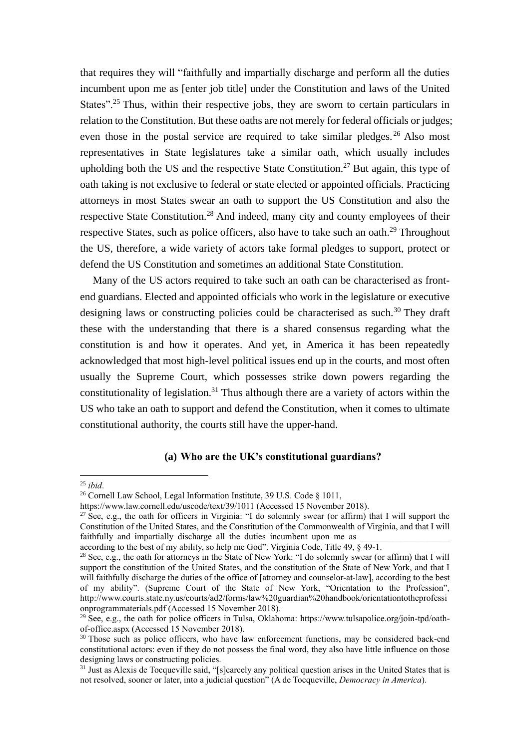that requires they will "faithfully and impartially discharge and perform all the duties incumbent upon me as [enter job title] under the Constitution and laws of the United States".<sup>25</sup> Thus, within their respective jobs, they are sworn to certain particulars in relation to the Constitution. But these oaths are not merely for federal officials or judges; even those in the postal service are required to take similar pledges. <sup>26</sup> Also most representatives in State legislatures take a similar oath, which usually includes upholding both the US and the respective State Constitution.<sup>27</sup> But again, this type of oath taking is not exclusive to federal or state elected or appointed officials. Practicing attorneys in most States swear an oath to support the US Constitution and also the respective State Constitution.<sup>28</sup> And indeed, many city and county employees of their respective States, such as police officers, also have to take such an oath.<sup>29</sup> Throughout the US, therefore, a wide variety of actors take formal pledges to support, protect or defend the US Constitution and sometimes an additional State Constitution.

Many of the US actors required to take such an oath can be characterised as frontend guardians. Elected and appointed officials who work in the legislature or executive designing laws or constructing policies could be characterised as such.<sup>30</sup> They draft these with the understanding that there is a shared consensus regarding what the constitution is and how it operates. And yet, in America it has been repeatedly acknowledged that most high-level political issues end up in the courts, and most often usually the Supreme Court, which possesses strike down powers regarding the constitutionality of legislation.<sup>31</sup> Thus although there are a variety of actors within the US who take an oath to support and defend the Constitution, when it comes to ultimate constitutional authority, the courts still have the upper-hand.

# **(a) Who are the UK's constitutional guardians?**

<sup>25</sup> *ibid*.

<sup>26</sup> Cornell Law School, Legal Information Institute, 39 U.S. Code § 1011,

https://www.law.cornell.edu/uscode/text/39/1011 (Accessed 15 November 2018).

<sup>&</sup>lt;sup>27</sup> See, e.g., the oath for officers in Virginia: "I do solemnly swear (or affirm) that I will support the Constitution of the United States, and the Constitution of the Commonwealth of Virginia, and that I will faithfully and impartially discharge all the duties incumbent upon me as

according to the best of my ability, so help me God". Virginia Code, Title 49,  $\sqrt{849-1}$ .

<sup>28</sup> See, e.g., the oath for attorneys in the State of New York: "I do solemnly swear (or affirm) that I will support the constitution of the United States, and the constitution of the State of New York, and that I will faithfully discharge the duties of the office of [attorney and counselor-at-law], according to the best of my ability". (Supreme Court of the State of New York, "Orientation to the Profession", http://www.courts.state.ny.us/courts/ad2/forms/law%20guardian%20handbook/orientationtotheprofessi onprogrammaterials.pdf (Accessed 15 November 2018).

<sup>&</sup>lt;sup>29</sup> See, e.g., the oath for police officers in Tulsa, Oklahoma: https://www.tulsapolice.org/join-tpd/oathof-office.aspx (Accessed 15 November 2018).

<sup>&</sup>lt;sup>30</sup> Those such as police officers, who have law enforcement functions, may be considered back-end constitutional actors: even if they do not possess the final word, they also have little influence on those designing laws or constructing policies.

<sup>&</sup>lt;sup>31</sup> Just as Alexis de Tocqueville said, "[s]carcely any political question arises in the United States that is not resolved, sooner or later, into a judicial question" (A de Tocqueville, *Democracy in America*).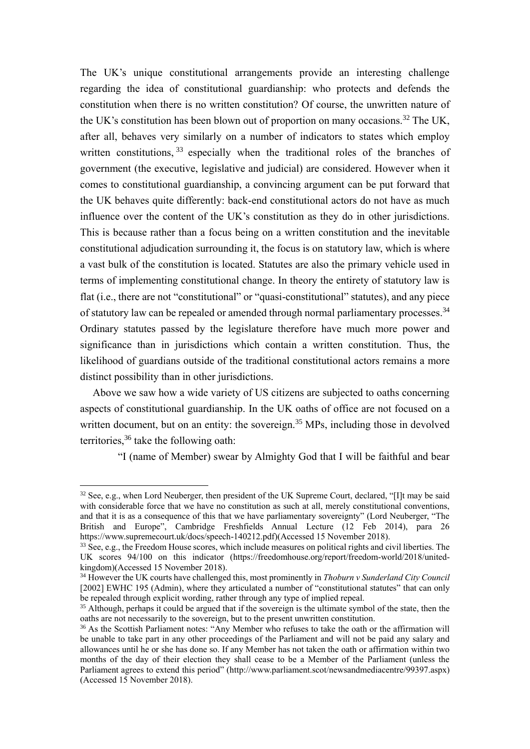The UK's unique constitutional arrangements provide an interesting challenge regarding the idea of constitutional guardianship: who protects and defends the constitution when there is no written constitution? Of course, the unwritten nature of the UK's constitution has been blown out of proportion on many occasions.<sup>32</sup> The UK, after all, behaves very similarly on a number of indicators to states which employ written constitutions, 33 especially when the traditional roles of the branches of government (the executive, legislative and judicial) are considered. However when it comes to constitutional guardianship, a convincing argument can be put forward that the UK behaves quite differently: back-end constitutional actors do not have as much influence over the content of the UK's constitution as they do in other jurisdictions. This is because rather than a focus being on a written constitution and the inevitable constitutional adjudication surrounding it, the focus is on statutory law, which is where a vast bulk of the constitution is located. Statutes are also the primary vehicle used in terms of implementing constitutional change. In theory the entirety of statutory law is flat (i.e., there are not "constitutional" or "quasi-constitutional" statutes), and any piece of statutory law can be repealed or amended through normal parliamentary processes.<sup>34</sup> Ordinary statutes passed by the legislature therefore have much more power and significance than in jurisdictions which contain a written constitution. Thus, the likelihood of guardians outside of the traditional constitutional actors remains a more distinct possibility than in other jurisdictions.

Above we saw how a wide variety of US citizens are subjected to oaths concerning aspects of constitutional guardianship. In the UK oaths of office are not focused on a written document, but on an entity: the sovereign.<sup>35</sup> MPs, including those in devolved territories,<sup>36</sup> take the following oath:

"I (name of Member) swear by Almighty God that I will be faithful and bear

<sup>&</sup>lt;sup>32</sup> See, e.g., when Lord Neuberger, then president of the UK Supreme Court, declared, "[I]t may be said with considerable force that we have no constitution as such at all, merely constitutional conventions, and that it is as a consequence of this that we have parliamentary sovereignty" (Lord Neuberger, "The British and Europe", Cambridge Freshfields Annual Lecture (12 Feb 2014), para 26 https://www.supremecourt.uk/docs/speech-140212.pdf)(Accessed 15 November 2018).

<sup>&</sup>lt;sup>33</sup> See, e.g., the Freedom House scores, which include measures on political rights and civil liberties. The UK scores 94/100 on this indicator (https://freedomhouse.org/report/freedom-world/2018/unitedkingdom)(Accessed 15 November 2018).

<sup>34</sup> However the UK courts have challenged this, most prominently in *Thoburn v Sunderland City Council* [2002] EWHC 195 (Admin), where they articulated a number of "constitutional statutes" that can only be repealed through explicit wording, rather through any type of implied repeal.

<sup>&</sup>lt;sup>35</sup> Although, perhaps it could be argued that if the sovereign is the ultimate symbol of the state, then the oaths are not necessarily to the sovereign, but to the present unwritten constitution.

<sup>&</sup>lt;sup>36</sup> As the Scottish Parliament notes: "Any Member who refuses to take the oath or the affirmation will be unable to take part in any other proceedings of the Parliament and will not be paid any salary and allowances until he or she has done so. If any Member has not taken the oath or affirmation within two months of the day of their election they shall cease to be a Member of the Parliament (unless the Parliament agrees to extend this period" (http://www.parliament.scot/newsandmediacentre/99397.aspx) (Accessed 15 November 2018).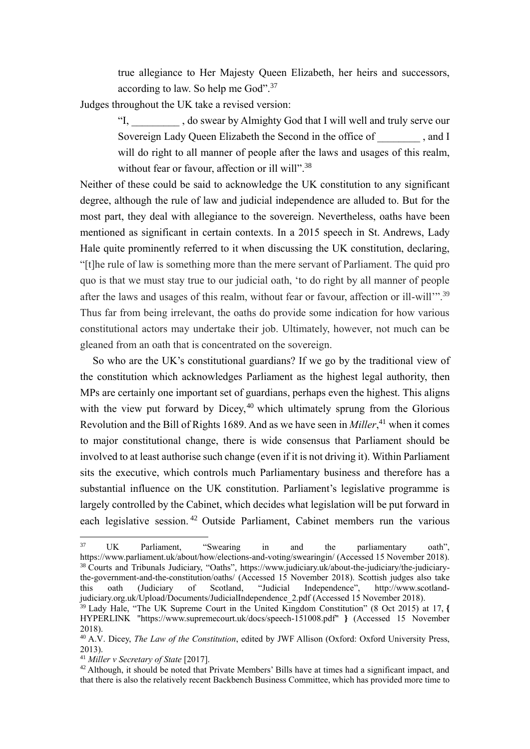true allegiance to Her Majesty Queen Elizabeth, her heirs and successors, according to law. So help me God".<sup>37</sup>

Judges throughout the UK take a revised version:

"I, \_\_\_\_\_\_\_\_\_ , do swear by Almighty God that I will well and truly serve our Sovereign Lady Queen Elizabeth the Second in the office of  $\qquad \qquad$  , and I will do right to all manner of people after the laws and usages of this realm, without fear or favour, affection or ill will".<sup>38</sup>

Neither of these could be said to acknowledge the UK constitution to any significant degree, although the rule of law and judicial independence are alluded to. But for the most part, they deal with allegiance to the sovereign. Nevertheless, oaths have been mentioned as significant in certain contexts. In a 2015 speech in St. Andrews, Lady Hale quite prominently referred to it when discussing the UK constitution, declaring, "[t]he rule of law is something more than the mere servant of Parliament. The quid pro quo is that we must stay true to our judicial oath, 'to do right by all manner of people after the laws and usages of this realm, without fear or favour, affection or ill-will'".<sup>39</sup> Thus far from being irrelevant, the oaths do provide some indication for how various constitutional actors may undertake their job. Ultimately, however, not much can be gleaned from an oath that is concentrated on the sovereign.

So who are the UK's constitutional guardians? If we go by the traditional view of the constitution which acknowledges Parliament as the highest legal authority, then MPs are certainly one important set of guardians, perhaps even the highest. This aligns with the view put forward by Dicey, $40$  which ultimately sprung from the Glorious Revolution and the Bill of Rights 1689. And as we have seen in *Miller*, <sup>41</sup> when it comes to major constitutional change, there is wide consensus that Parliament should be involved to at least authorise such change (even if it is not driving it). Within Parliament sits the executive, which controls much Parliamentary business and therefore has a substantial influence on the UK constitution. Parliament's legislative programme is largely controlled by the Cabinet, which decides what legislation will be put forward in each legislative session.<sup>42</sup> Outside Parliament, Cabinet members run the various

 $\frac{1}{37}$  UK Parliament, "Swearing in and the parliamentary oath", https://www.parliament.uk/about/how/elections-and-voting/swearingin/ (Accessed 15 November 2018). 38 Courts and Tribunals Judiciary, "Oaths", https://www.judiciary.uk/about-the-judiciary/the-judiciarythe-government-and-the-constitution/oaths/ (Accessed 15 November 2018). Scottish judges also take this oath (Judiciary of Scotland, "Judicial Independence", http://www.scotlandjudiciary.org.uk/Upload/Documents/JudicialIndependence\_2.pdf (Accessed 15 November 2018).

<sup>39</sup> Lady Hale, "The UK Supreme Court in the United Kingdom Constitution" (8 Oct 2015) at 17, **{** HYPERLINK "https://www.supremecourt.uk/docs/speech-151008.pdf" **[}](https://www.supremecourt.uk/docs/speech-151008.pdf)** (Accessed 15 November 2018).

<sup>40</sup> A.V. Dicey, *The Law of the Constitution*, edited by JWF Allison (Oxford: Oxford University Press, 2013).

<sup>41</sup> *Miller v Secretary of State* [2017].

<sup>&</sup>lt;sup>42</sup> Although, it should be noted that Private Members' Bills have at times had a significant impact, and that there is also the relatively recent Backbench Business Committee, which has provided more time to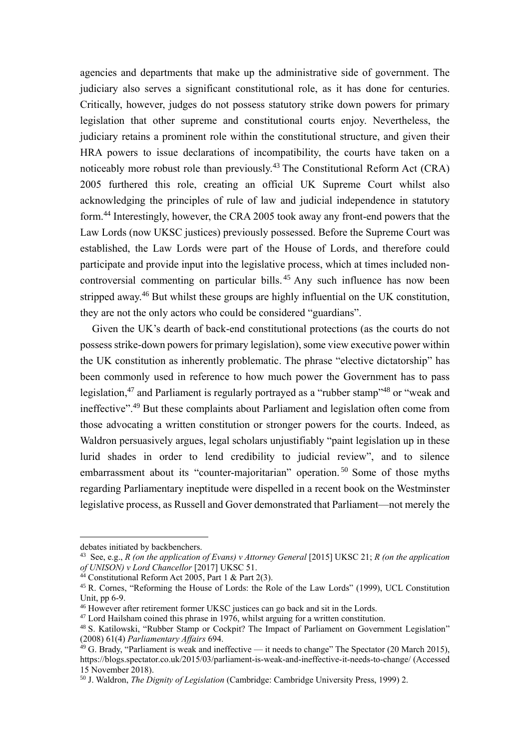agencies and departments that make up the administrative side of government. The judiciary also serves a significant constitutional role, as it has done for centuries. Critically, however, judges do not possess statutory strike down powers for primary legislation that other supreme and constitutional courts enjoy. Nevertheless, the judiciary retains a prominent role within the constitutional structure, and given their HRA powers to issue declarations of incompatibility, the courts have taken on a noticeably more robust role than previously.<sup>43</sup> The Constitutional Reform Act (CRA) 2005 furthered this role, creating an official UK Supreme Court whilst also acknowledging the principles of rule of law and judicial independence in statutory form. <sup>44</sup> Interestingly, however, the CRA 2005 took away any front-end powers that the Law Lords (now UKSC justices) previously possessed. Before the Supreme Court was established, the Law Lords were part of the House of Lords, and therefore could participate and provide input into the legislative process, which at times included noncontroversial commenting on particular bills. 45 Any such influence has now been stripped away.<sup>46</sup> But whilst these groups are highly influential on the UK constitution, they are not the only actors who could be considered "guardians".

Given the UK's dearth of back-end constitutional protections (as the courts do not possess strike-down powers for primary legislation), some view executive power within the UK constitution as inherently problematic. The phrase "elective dictatorship" has been commonly used in reference to how much power the Government has to pass legislation,<sup>47</sup> and Parliament is regularly portrayed as a "rubber stamp"<sup>48</sup> or "weak and ineffective".<sup>49</sup> But these complaints about Parliament and legislation often come from those advocating a written constitution or stronger powers for the courts. Indeed, as Waldron persuasively argues, legal scholars unjustifiably "paint legislation up in these lurid shades in order to lend credibility to judicial review", and to silence embarrassment about its "counter-majoritarian" operation.<sup>50</sup> Some of those myths regarding Parliamentary ineptitude were dispelled in a recent book on the Westminster legislative process, as Russell and Gover demonstrated that Parliament—not merely the

debates initiated by backbenchers.

<sup>43</sup> See, e.g., *R (on the application of Evans) v Attorney General* [2015] UKSC 21; *R (on the application of UNISON) v Lord Chancellor* [2017] UKSC 51.

<sup>44</sup> Constitutional Reform Act 2005, Part 1 & Part 2(3).

<sup>45</sup> R. Cornes, "Reforming the House of Lords: the Role of the Law Lords" (1999), UCL Constitution Unit, pp 6-9.

<sup>46</sup> However after retirement former UKSC justices can go back and sit in the Lords.

 $47$  Lord Hailsham coined this phrase in 1976, whilst arguing for a written constitution.

<sup>&</sup>lt;sup>48</sup> S. Katilowski, "Rubber Stamp or Cockpit? The Impact of Parliament on Government Legislation" (2008) 61(4) *Parliamentary Affairs* 694.

 $49$  G. Brady, "Parliament is weak and ineffective — it needs to change" The Spectator (20 March 2015), https://blogs.spectator.co.uk/2015/03/parliament-is-weak-and-ineffective-it-needs-to-change/ (Accessed 15 November 2018).

<sup>50</sup> J. Waldron, *The Dignity of Legislation* (Cambridge: Cambridge University Press, 1999) 2.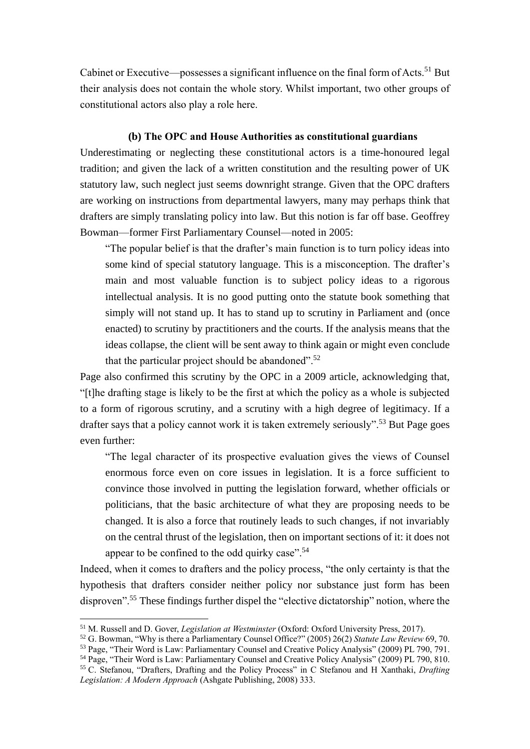Cabinet or Executive—possesses a significant influence on the final form of Acts.<sup>51</sup> But their analysis does not contain the whole story. Whilst important, two other groups of constitutional actors also play a role here.

## **(b) The OPC and House Authorities as constitutional guardians**

Underestimating or neglecting these constitutional actors is a time-honoured legal tradition; and given the lack of a written constitution and the resulting power of UK statutory law, such neglect just seems downright strange. Given that the OPC drafters are working on instructions from departmental lawyers, many may perhaps think that drafters are simply translating policy into law. But this notion is far off base. Geoffrey Bowman—former First Parliamentary Counsel—noted in 2005:

"The popular belief is that the drafter's main function is to turn policy ideas into some kind of special statutory language. This is a misconception. The drafter's main and most valuable function is to subject policy ideas to a rigorous intellectual analysis. It is no good putting onto the statute book something that simply will not stand up. It has to stand up to scrutiny in Parliament and (once enacted) to scrutiny by practitioners and the courts. If the analysis means that the ideas collapse, the client will be sent away to think again or might even conclude that the particular project should be abandoned".<sup>52</sup>

Page also confirmed this scrutiny by the OPC in a 2009 article, acknowledging that, "[t]he drafting stage is likely to be the first at which the policy as a whole is subjected to a form of rigorous scrutiny, and a scrutiny with a high degree of legitimacy. If a drafter says that a policy cannot work it is taken extremely seriously".<sup>53</sup> But Page goes even further:

"The legal character of its prospective evaluation gives the views of Counsel enormous force even on core issues in legislation. It is a force sufficient to convince those involved in putting the legislation forward, whether officials or politicians, that the basic architecture of what they are proposing needs to be changed. It is also a force that routinely leads to such changes, if not invariably on the central thrust of the legislation, then on important sections of it: it does not appear to be confined to the odd quirky case".<sup>54</sup>

Indeed, when it comes to drafters and the policy process, "the only certainty is that the hypothesis that drafters consider neither policy nor substance just form has been disproven".<sup>55</sup> These findings further dispel the "elective dictatorship" notion, where the

<sup>51</sup> M. Russell and D. Gover, *Legislation at Westminster* (Oxford: Oxford University Press, 2017).

<sup>52</sup> G. Bowman, "Why is there a Parliamentary Counsel Office?" (2005) 26(2) *Statute Law Review* 69, 70.

<sup>53</sup> Page, "Their Word is Law: Parliamentary Counsel and Creative Policy Analysis" (2009) PL 790, 791.

<sup>54</sup> Page, "Their Word is Law: Parliamentary Counsel and Creative Policy Analysis" (2009) PL 790, 810. 55 C. Stefanou, "Drafters, Drafting and the Policy Process" in C Stefanou and H Xanthaki, *Drafting* 

*Legislation: A Modern Approach* (Ashgate Publishing, 2008) 333.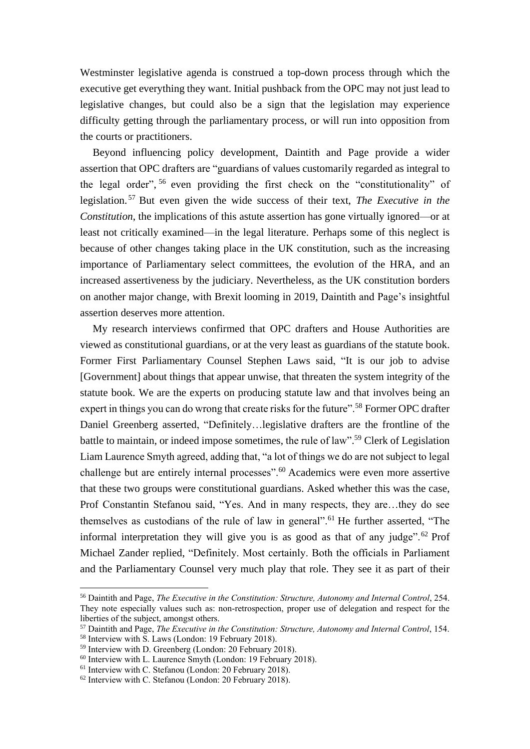Westminster legislative agenda is construed a top-down process through which the executive get everything they want. Initial pushback from the OPC may not just lead to legislative changes, but could also be a sign that the legislation may experience difficulty getting through the parliamentary process, or will run into opposition from the courts or practitioners.

Beyond influencing policy development, Daintith and Page provide a wider assertion that OPC drafters are "guardians of values customarily regarded as integral to the legal order", <sup>56</sup> even providing the first check on the "constitutionality" of legislation. <sup>57</sup> But even given the wide success of their text, *The Executive in the Constitution*, the implications of this astute assertion has gone virtually ignored—or at least not critically examined—in the legal literature. Perhaps some of this neglect is because of other changes taking place in the UK constitution, such as the increasing importance of Parliamentary select committees, the evolution of the HRA, and an increased assertiveness by the judiciary. Nevertheless, as the UK constitution borders on another major change, with Brexit looming in 2019, Daintith and Page's insightful assertion deserves more attention.

My research interviews confirmed that OPC drafters and House Authorities are viewed as constitutional guardians, or at the very least as guardians of the statute book. Former First Parliamentary Counsel Stephen Laws said, "It is our job to advise [Government] about things that appear unwise, that threaten the system integrity of the statute book. We are the experts on producing statute law and that involves being an expert in things you can do wrong that create risks for the future".<sup>58</sup> Former OPC drafter Daniel Greenberg asserted, "Definitely…legislative drafters are the frontline of the battle to maintain, or indeed impose sometimes, the rule of law".<sup>59</sup> Clerk of Legislation Liam Laurence Smyth agreed, adding that, "a lot of things we do are not subject to legal challenge but are entirely internal processes".<sup>60</sup> Academics were even more assertive that these two groups were constitutional guardians. Asked whether this was the case, Prof Constantin Stefanou said, "Yes. And in many respects, they are…they do see themselves as custodians of the rule of law in general".<sup>61</sup> He further asserted, "The informal interpretation they will give you is as good as that of any judge".<sup>62</sup> Prof Michael Zander replied, "Definitely. Most certainly. Both the officials in Parliament and the Parliamentary Counsel very much play that role. They see it as part of their

<sup>56</sup> Daintith and Page, *The Executive in the Constitution: Structure, Autonomy and Internal Control*, 254. They note especially values such as: non-retrospection, proper use of delegation and respect for the liberties of the subject, amongst others.

<sup>57</sup> Daintith and Page, *The Executive in the Constitution: Structure, Autonomy and Internal Control*, 154.

<sup>58</sup> Interview with S. Laws (London: 19 February 2018).

<sup>59</sup> Interview with D. Greenberg (London: 20 February 2018).

 $60$  Interview with L. Laurence Smyth (London: 19 February 2018).

<sup>61</sup> Interview with C. Stefanou (London: 20 February 2018).

<sup>62</sup> Interview with C. Stefanou (London: 20 February 2018).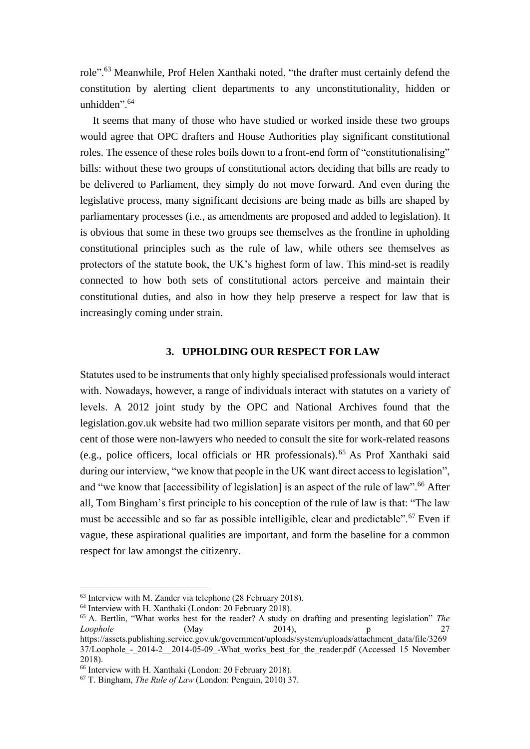role".<sup>63</sup> Meanwhile, Prof Helen Xanthaki noted, "the drafter must certainly defend the constitution by alerting client departments to any unconstitutionality, hidden or unhidden"<sup>64</sup>

It seems that many of those who have studied or worked inside these two groups would agree that OPC drafters and House Authorities play significant constitutional roles. The essence of these roles boils down to a front-end form of "constitutionalising" bills: without these two groups of constitutional actors deciding that bills are ready to be delivered to Parliament, they simply do not move forward. And even during the legislative process, many significant decisions are being made as bills are shaped by parliamentary processes (i.e., as amendments are proposed and added to legislation). It is obvious that some in these two groups see themselves as the frontline in upholding constitutional principles such as the rule of law, while others see themselves as protectors of the statute book, the UK's highest form of law. This mind-set is readily connected to how both sets of constitutional actors perceive and maintain their constitutional duties, and also in how they help preserve a respect for law that is increasingly coming under strain.

#### **3. UPHOLDING OUR RESPECT FOR LAW**

Statutes used to be instruments that only highly specialised professionals would interact with. Nowadays, however, a range of individuals interact with statutes on a variety of levels. A 2012 joint study by the OPC and National Archives found that the legislation.gov.uk website had two million separate visitors per month, and that 60 per cent of those were non-lawyers who needed to consult the site for work-related reasons (e.g., police officers, local officials or HR professionals). <sup>65</sup> As Prof Xanthaki said during our interview, "we know that people in the UK want direct access to legislation", and "we know that [accessibility of legislation] is an aspect of the rule of law".<sup>66</sup> After all, Tom Bingham's first principle to his conception of the rule of law is that: "The law must be accessible and so far as possible intelligible, clear and predictable".<sup>67</sup> Even if vague, these aspirational qualities are important, and form the baseline for a common respect for law amongst the citizenry.

<sup>63</sup> Interview with M. Zander via telephone (28 February 2018).

<sup>64</sup> Interview with H. Xanthaki (London: 20 February 2018).

<sup>65</sup> A. Bertlin, "What works best for the reader? A study on drafting and presenting legislation" *The Loophole* (May 2014), p 27 https://assets.publishing.service.gov.uk/government/uploads/system/uploads/attachment\_data/file/3269  $37/L$ oophole - 2014-2<sup>2</sup> 2014-05-09 - What works best for the reader.pdf (Accessed 15 November 2018).

<sup>66</sup> Interview with H. Xanthaki (London: 20 February 2018).

<sup>67</sup> T. Bingham, *The Rule of Law* (London: Penguin, 2010) 37.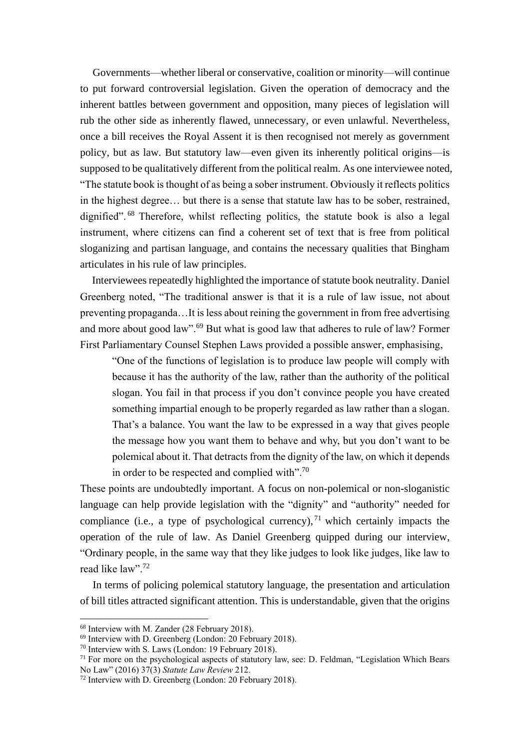Governments—whether liberal or conservative, coalition or minority—will continue to put forward controversial legislation. Given the operation of democracy and the inherent battles between government and opposition, many pieces of legislation will rub the other side as inherently flawed, unnecessary, or even unlawful. Nevertheless, once a bill receives the Royal Assent it is then recognised not merely as government policy, but as law. But statutory law—even given its inherently political origins—is supposed to be qualitatively different from the political realm. As one interviewee noted, "The statute book is thought of as being a sober instrument. Obviously it reflects politics in the highest degree… but there is a sense that statute law has to be sober, restrained, dignified". <sup>68</sup> Therefore, whilst reflecting politics, the statute book is also a legal instrument, where citizens can find a coherent set of text that is free from political sloganizing and partisan language, and contains the necessary qualities that Bingham articulates in his rule of law principles.

Interviewees repeatedly highlighted the importance of statute book neutrality. Daniel Greenberg noted, "The traditional answer is that it is a rule of law issue, not about preventing propaganda…It is less about reining the government in from free advertising and more about good law".<sup>69</sup> But what is good law that adheres to rule of law? Former First Parliamentary Counsel Stephen Laws provided a possible answer, emphasising,

"One of the functions of legislation is to produce law people will comply with because it has the authority of the law, rather than the authority of the political slogan. You fail in that process if you don't convince people you have created something impartial enough to be properly regarded as law rather than a slogan. That's a balance. You want the law to be expressed in a way that gives people the message how you want them to behave and why, but you don't want to be polemical about it. That detracts from the dignity of the law, on which it depends in order to be respected and complied with".<sup>70</sup>

These points are undoubtedly important. A focus on non-polemical or non-sloganistic language can help provide legislation with the "dignity" and "authority" needed for compliance (i.e., a type of psychological currency),  $71$  which certainly impacts the operation of the rule of law. As Daniel Greenberg quipped during our interview, "Ordinary people, in the same way that they like judges to look like judges, like law to read like law".<sup>72</sup>

In terms of policing polemical statutory language, the presentation and articulation of bill titles attracted significant attention. This is understandable, given that the origins

<sup>68</sup> Interview with M. Zander (28 February 2018).

<sup>69</sup> Interview with D. Greenberg (London: 20 February 2018).

<sup>70</sup> Interview with S. Laws (London: 19 February 2018).

 $71$  For more on the psychological aspects of statutory law, see: D. Feldman, "Legislation Which Bears" No Law" (2016) 37(3) *Statute Law Review* 212.

<sup>72</sup> Interview with D. Greenberg (London: 20 February 2018).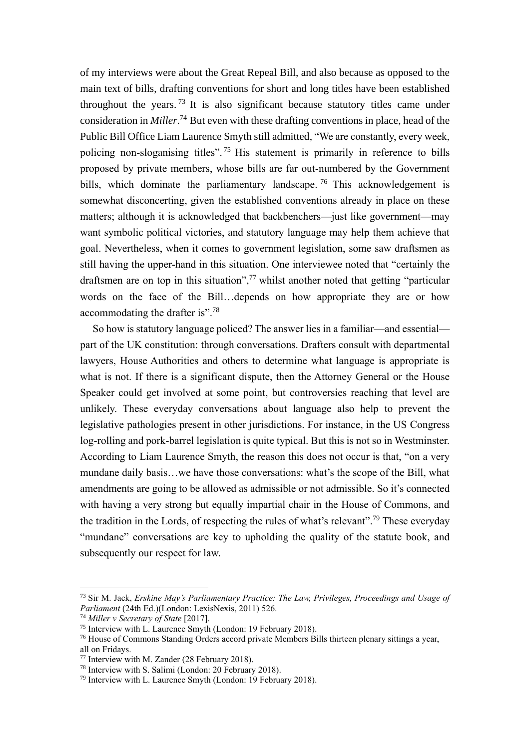of my interviews were about the Great Repeal Bill, and also because as opposed to the main text of bills, drafting conventions for short and long titles have been established throughout the years.<sup>73</sup> It is also significant because statutory titles came under consideration in *Miller*. <sup>74</sup> But even with these drafting conventions in place, head of the Public Bill Office Liam Laurence Smyth still admitted, "We are constantly, every week, policing non-sloganising titles".<sup>75</sup> His statement is primarily in reference to bills proposed by private members, whose bills are far out-numbered by the Government bills, which dominate the parliamentary landscape.<sup>76</sup> This acknowledgement is somewhat disconcerting, given the established conventions already in place on these matters; although it is acknowledged that backbenchers—just like government—may want symbolic political victories, and statutory language may help them achieve that goal. Nevertheless, when it comes to government legislation, some saw draftsmen as still having the upper-hand in this situation. One interviewee noted that "certainly the draftsmen are on top in this situation", $\frac{7}{7}$  whilst another noted that getting "particular" words on the face of the Bill…depends on how appropriate they are or how accommodating the drafter is".<sup>78</sup>

So how is statutory language policed? The answer lies in a familiar—and essential part of the UK constitution: through conversations. Drafters consult with departmental lawyers, House Authorities and others to determine what language is appropriate is what is not. If there is a significant dispute, then the Attorney General or the House Speaker could get involved at some point, but controversies reaching that level are unlikely. These everyday conversations about language also help to prevent the legislative pathologies present in other jurisdictions. For instance, in the US Congress log-rolling and pork-barrel legislation is quite typical. But this is not so in Westminster. According to Liam Laurence Smyth, the reason this does not occur is that, "on a very mundane daily basis…we have those conversations: what's the scope of the Bill, what amendments are going to be allowed as admissible or not admissible. So it's connected with having a very strong but equally impartial chair in the House of Commons, and the tradition in the Lords, of respecting the rules of what's relevant".<sup>79</sup> These everyday "mundane" conversations are key to upholding the quality of the statute book, and subsequently our respect for law.

<sup>73</sup> Sir M. Jack, *Erskine May's Parliamentary Practice: The Law, Privileges, Proceedings and Usage of Parliament* (24th Ed.)(London: LexisNexis, 2011) 526.

<sup>74</sup> *Miller v Secretary of State* [2017].

<sup>75</sup> Interview with L. Laurence Smyth (London: 19 February 2018).

<sup>76</sup> House of Commons Standing Orders accord private Members Bills thirteen plenary sittings a year, all on Fridays.

<sup>77</sup> Interview with M. Zander (28 February 2018).

<sup>78</sup> Interview with S. Salimi (London: 20 February 2018).

<sup>79</sup> Interview with L. Laurence Smyth (London: 19 February 2018).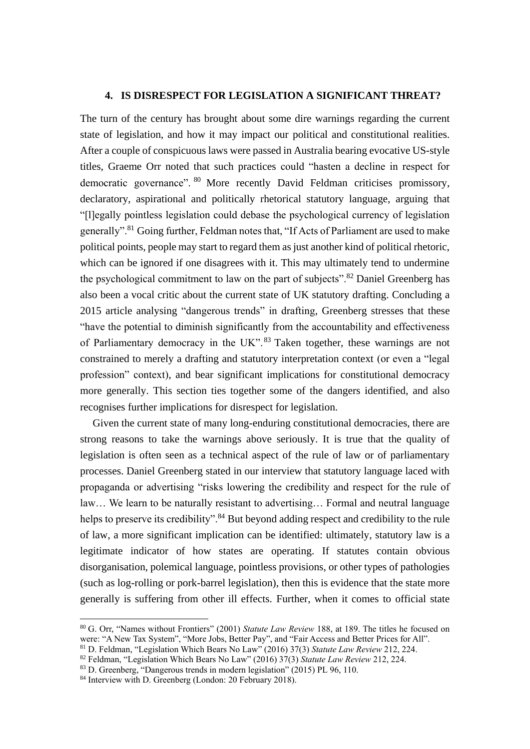## **4. IS DISRESPECT FOR LEGISLATION A SIGNIFICANT THREAT?**

The turn of the century has brought about some dire warnings regarding the current state of legislation, and how it may impact our political and constitutional realities. After a couple of conspicuous laws were passed in Australia bearing evocative US-style titles, Graeme Orr noted that such practices could "hasten a decline in respect for democratic governance". <sup>80</sup> More recently David Feldman criticises promissory, declaratory, aspirational and politically rhetorical statutory language, arguing that "[l]egally pointless legislation could debase the psychological currency of legislation generally".<sup>81</sup> Going further, Feldman notes that, "If Acts of Parliament are used to make political points, people may start to regard them as just another kind of political rhetoric, which can be ignored if one disagrees with it. This may ultimately tend to undermine the psychological commitment to law on the part of subjects".<sup>82</sup> Daniel Greenberg has also been a vocal critic about the current state of UK statutory drafting. Concluding a 2015 article analysing "dangerous trends" in drafting, Greenberg stresses that these "have the potential to diminish significantly from the accountability and effectiveness of Parliamentary democracy in the UK".<sup>83</sup> Taken together, these warnings are not constrained to merely a drafting and statutory interpretation context (or even a "legal profession" context), and bear significant implications for constitutional democracy more generally. This section ties together some of the dangers identified, and also recognises further implications for disrespect for legislation.

Given the current state of many long-enduring constitutional democracies, there are strong reasons to take the warnings above seriously. It is true that the quality of legislation is often seen as a technical aspect of the rule of law or of parliamentary processes. Daniel Greenberg stated in our interview that statutory language laced with propaganda or advertising "risks lowering the credibility and respect for the rule of law… We learn to be naturally resistant to advertising… Formal and neutral language helps to preserve its credibility".<sup>84</sup> But beyond adding respect and credibility to the rule of law, a more significant implication can be identified: ultimately, statutory law is a legitimate indicator of how states are operating. If statutes contain obvious disorganisation, polemical language, pointless provisions, or other types of pathologies (such as log-rolling or pork-barrel legislation), then this is evidence that the state more generally is suffering from other ill effects. Further, when it comes to official state

<sup>80</sup> G. Orr, "Names without Frontiers" (2001) *Statute Law Review* 188, at 189. The titles he focused on were: "A New Tax System", "More Jobs, Better Pay", and "Fair Access and Better Prices for All".

<sup>81</sup> D. Feldman, "Legislation Which Bears No Law" (2016) 37(3) *Statute Law Review* 212, 224.

<sup>82</sup> Feldman, "Legislation Which Bears No Law" (2016) 37(3) *Statute Law Review* 212, 224.

<sup>83</sup> D. Greenberg, "Dangerous trends in modern legislation" (2015) PL 96, 110.

<sup>84</sup> Interview with D. Greenberg (London: 20 February 2018).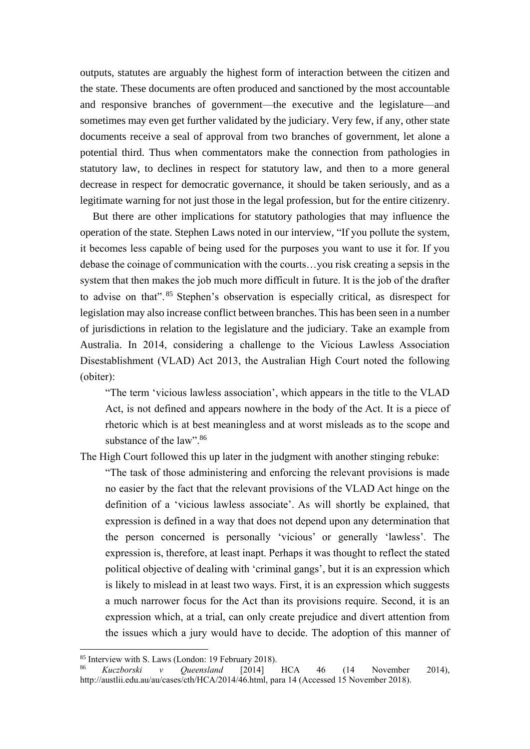outputs, statutes are arguably the highest form of interaction between the citizen and the state. These documents are often produced and sanctioned by the most accountable and responsive branches of government—the executive and the legislature—and sometimes may even get further validated by the judiciary. Very few, if any, other state documents receive a seal of approval from two branches of government, let alone a potential third. Thus when commentators make the connection from pathologies in statutory law, to declines in respect for statutory law, and then to a more general decrease in respect for democratic governance, it should be taken seriously, and as a legitimate warning for not just those in the legal profession, but for the entire citizenry.

But there are other implications for statutory pathologies that may influence the operation of the state. Stephen Laws noted in our interview, "If you pollute the system, it becomes less capable of being used for the purposes you want to use it for. If you debase the coinage of communication with the courts…you risk creating a sepsis in the system that then makes the job much more difficult in future. It is the job of the drafter to advise on that". <sup>85</sup> Stephen's observation is especially critical, as disrespect for legislation may also increase conflict between branches. This has been seen in a number of jurisdictions in relation to the legislature and the judiciary. Take an example from Australia. In 2014, considering a challenge to the Vicious Lawless Association Disestablishment (VLAD) Act 2013, the Australian High Court noted the following (obiter):

"The term 'vicious lawless association', which appears in the title to the VLAD Act, is not defined and appears nowhere in the body of the Act. It is a piece of rhetoric which is at best meaningless and at worst misleads as to the scope and substance of the law".<sup>86</sup>

The High Court followed this up later in the judgment with another stinging rebuke:

"The task of those administering and enforcing the relevant provisions is made no easier by the fact that the relevant provisions of the VLAD Act hinge on the definition of a 'vicious lawless associate'. As will shortly be explained, that expression is defined in a way that does not depend upon any determination that the person concerned is personally 'vicious' or generally 'lawless'. The expression is, therefore, at least inapt. Perhaps it was thought to reflect the stated political objective of dealing with 'criminal gangs', but it is an expression which is likely to mislead in at least two ways. First, it is an expression which suggests a much narrower focus for the Act than its provisions require. Second, it is an expression which, at a trial, can only create prejudice and divert attention from the issues which a jury would have to decide. The adoption of this manner of

<sup>85</sup> Interview with S. Laws (London: 19 February 2018).

<sup>86</sup> *Kuczborski v Queensland* [2014] HCA 46 (14 November 2014), http://austlii.edu.au/au/cases/cth/HCA/2014/46.html, para 14 (Accessed 15 November 2018).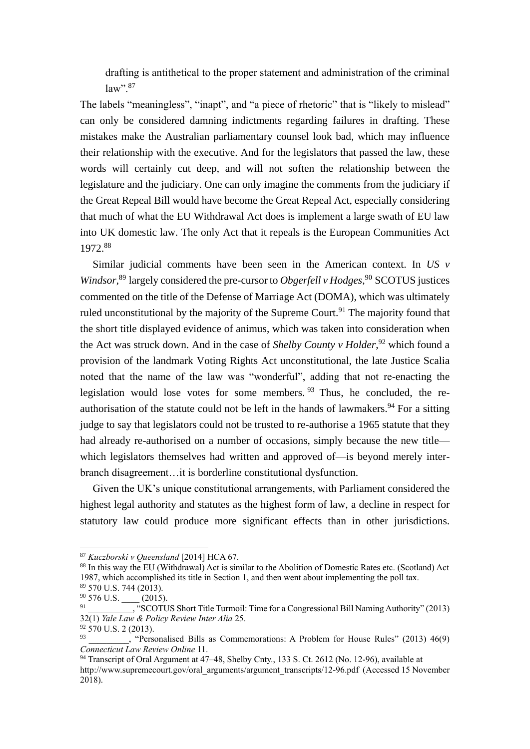drafting is antithetical to the proper statement and administration of the criminal  $law"$ <sup>87</sup>

The labels "meaningless", "inapt", and "a piece of rhetoric" that is "likely to mislead" can only be considered damning indictments regarding failures in drafting. These mistakes make the Australian parliamentary counsel look bad, which may influence their relationship with the executive. And for the legislators that passed the law, these words will certainly cut deep, and will not soften the relationship between the legislature and the judiciary. One can only imagine the comments from the judiciary if the Great Repeal Bill would have become the Great Repeal Act, especially considering that much of what the EU Withdrawal Act does is implement a large swath of EU law into UK domestic law. The only Act that it repeals is the European Communities Act 1972.<sup>88</sup>

Similar judicial comments have been seen in the American context. In *US v Windsor*, <sup>89</sup> largely considered the pre-cursor to *Obgerfell v Hodges*, <sup>90</sup> SCOTUS justices commented on the title of the Defense of Marriage Act (DOMA), which was ultimately ruled unconstitutional by the majority of the Supreme Court.<sup>91</sup> The majority found that the short title displayed evidence of animus, which was taken into consideration when the Act was struck down. And in the case of *Shelby County v Holder*, <sup>92</sup> which found a provision of the landmark Voting Rights Act unconstitutional, the late Justice Scalia noted that the name of the law was "wonderful", adding that not re-enacting the legislation would lose votes for some members.  $93$  Thus, he concluded, the reauthorisation of the statute could not be left in the hands of lawmakers.<sup>94</sup> For a sitting judge to say that legislators could not be trusted to re-authorise a 1965 statute that they had already re-authorised on a number of occasions, simply because the new title which legislators themselves had written and approved of—is beyond merely interbranch disagreement…it is borderline constitutional dysfunction.

Given the UK's unique constitutional arrangements, with Parliament considered the highest legal authority and statutes as the highest form of law, a decline in respect for statutory law could produce more significant effects than in other jurisdictions.

<sup>87</sup> *Kuczborski v Queensland* [2014] HCA 67.

<sup>88</sup> In this way the EU (Withdrawal) Act is similar to the Abolition of Domestic Rates etc. (Scotland) Act 1987, which accomplished its title in Section 1, and then went about implementing the poll tax. <sup>89</sup> 570 U.S. 744 (2013).

 $^{90}_{91}$  576 U.S.  $\frac{(2015)}{^{90}}$ 

<sup>&</sup>quot;SCOTUS Short Title Turmoil: Time for a Congressional Bill Naming Authority" (2013) 32(1) *Yale Law & Policy Review Inter Alia* 25.

 $92\,$  570 U.S. 2 (2013). 93

\_\_\_\_\_\_\_\_\_, "Personalised Bills as Commemorations: A Problem for House Rules" (2013) 46(9) *Connecticut Law Review Online* 11.

<sup>94</sup> Transcript of Oral Argument at 47–48, Shelby Cnty., 133 S. Ct. 2612 (No. 12-96), available at http://www.supremecourt.gov/oral\_arguments/argument\_transcripts/12-96.pdf (Accessed 15 November 2018).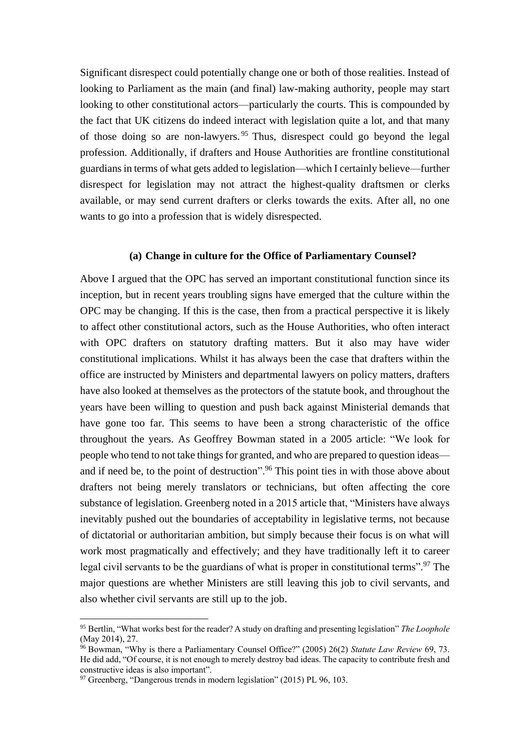Significant disrespect could potentially change one or both of those realities. Instead of looking to Parliament as the main (and final) law-making authority, people may start looking to other constitutional actors—particularly the courts. This is compounded by the fact that UK citizens do indeed interact with legislation quite a lot, and that many of those doing so are non-lawyers. <sup>95</sup> Thus, disrespect could go beyond the legal profession. Additionally, if drafters and House Authorities are frontline constitutional guardians in terms of what gets added to legislation—which I certainly believe—further disrespect for legislation may not attract the highest-quality draftsmen or clerks available, or may send current drafters or clerks towards the exits. After all, no one wants to go into a profession that is widely disrespected.

### **(a) Change in culture for the Office of Parliamentary Counsel?**

Above I argued that the OPC has served an important constitutional function since its inception, but in recent years troubling signs have emerged that the culture within the OPC may be changing. If this is the case, then from a practical perspective it is likely to affect other constitutional actors, such as the House Authorities, who often interact with OPC drafters on statutory drafting matters. But it also may have wider constitutional implications. Whilst it has always been the case that drafters within the office are instructed by Ministers and departmental lawyers on policy matters, drafters have also looked at themselves as the protectors of the statute book, and throughout the years have been willing to question and push back against Ministerial demands that have gone too far. This seems to have been a strong characteristic of the office throughout the years. As Geoffrey Bowman stated in a 2005 article: "We look for people who tend to not take things for granted, and who are prepared to question ideas and if need be, to the point of destruction".<sup>96</sup> This point ties in with those above about drafters not being merely translators or technicians, but often affecting the core substance of legislation. Greenberg noted in a 2015 article that, "Ministers have always inevitably pushed out the boundaries of acceptability in legislative terms, not because of dictatorial or authoritarian ambition, but simply because their focus is on what will work most pragmatically and effectively; and they have traditionally left it to career legal civil servants to be the guardians of what is proper in constitutional terms".<sup>97</sup> The major questions are whether Ministers are still leaving this job to civil servants, and also whether civil servants are still up to the job.

<sup>95</sup> Bertlin, "What works best for the reader? A study on drafting and presenting legislation" *The Loophole* (May 2014), 27.

<sup>96</sup> Bowman, "Why is there a Parliamentary Counsel Office?" (2005) 26(2) *Statute Law Review* 69, 73. He did add, "Of course, it is not enough to merely destroy bad ideas. The capacity to contribute fresh and constructive ideas is also important".

<sup>97</sup> Greenberg, "Dangerous trends in modern legislation" (2015) PL 96, 103.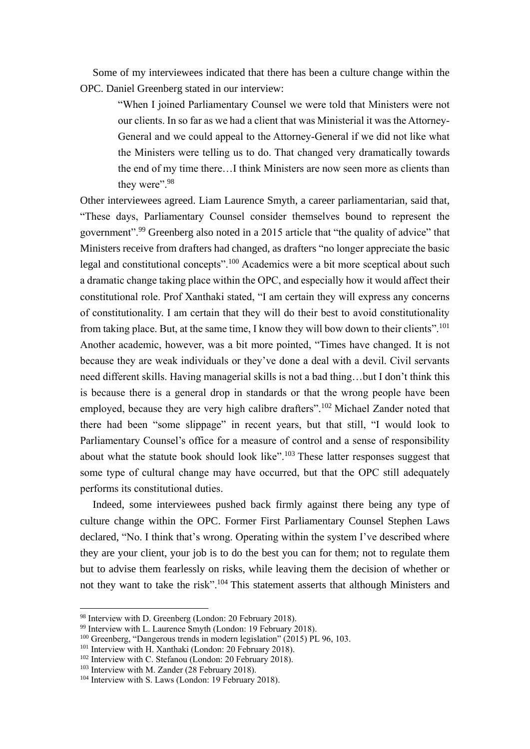Some of my interviewees indicated that there has been a culture change within the OPC. Daniel Greenberg stated in our interview:

> "When I joined Parliamentary Counsel we were told that Ministers were not our clients. In so far as we had a client that was Ministerial it was the Attorney-General and we could appeal to the Attorney-General if we did not like what the Ministers were telling us to do. That changed very dramatically towards the end of my time there…I think Ministers are now seen more as clients than they were".<sup>98</sup>

Other interviewees agreed. Liam Laurence Smyth, a career parliamentarian, said that, "These days, Parliamentary Counsel consider themselves bound to represent the government".<sup>99</sup> Greenberg also noted in a 2015 article that "the quality of advice" that Ministers receive from drafters had changed, as drafters "no longer appreciate the basic legal and constitutional concepts".<sup>100</sup> Academics were a bit more sceptical about such a dramatic change taking place within the OPC, and especially how it would affect their constitutional role. Prof Xanthaki stated, "I am certain they will express any concerns of constitutionality. I am certain that they will do their best to avoid constitutionality from taking place. But, at the same time, I know they will bow down to their clients".<sup>101</sup> Another academic, however, was a bit more pointed, "Times have changed. It is not because they are weak individuals or they've done a deal with a devil. Civil servants need different skills. Having managerial skills is not a bad thing…but I don't think this is because there is a general drop in standards or that the wrong people have been employed, because they are very high calibre drafters".<sup>102</sup> Michael Zander noted that there had been "some slippage" in recent years, but that still, "I would look to Parliamentary Counsel's office for a measure of control and a sense of responsibility about what the statute book should look like".<sup>103</sup> These latter responses suggest that some type of cultural change may have occurred, but that the OPC still adequately performs its constitutional duties.

Indeed, some interviewees pushed back firmly against there being any type of culture change within the OPC. Former First Parliamentary Counsel Stephen Laws declared, "No. I think that's wrong. Operating within the system I've described where they are your client, your job is to do the best you can for them; not to regulate them but to advise them fearlessly on risks, while leaving them the decision of whether or not they want to take the risk".<sup>104</sup> This statement asserts that although Ministers and

<sup>98</sup> Interview with D. Greenberg (London: 20 February 2018).

<sup>&</sup>lt;sup>99</sup> Interview with L. Laurence Smyth (London: 19 February 2018).

<sup>100</sup> Greenberg, "Dangerous trends in modern legislation" (2015) PL 96, 103.

<sup>&</sup>lt;sup>101</sup> Interview with H. Xanthaki (London: 20 February 2018).

 $102$  Interview with C. Stefanou (London: 20 February 2018).

<sup>&</sup>lt;sup>103</sup> Interview with M. Zander (28 February 2018).

<sup>104</sup> Interview with S. Laws (London: 19 February 2018).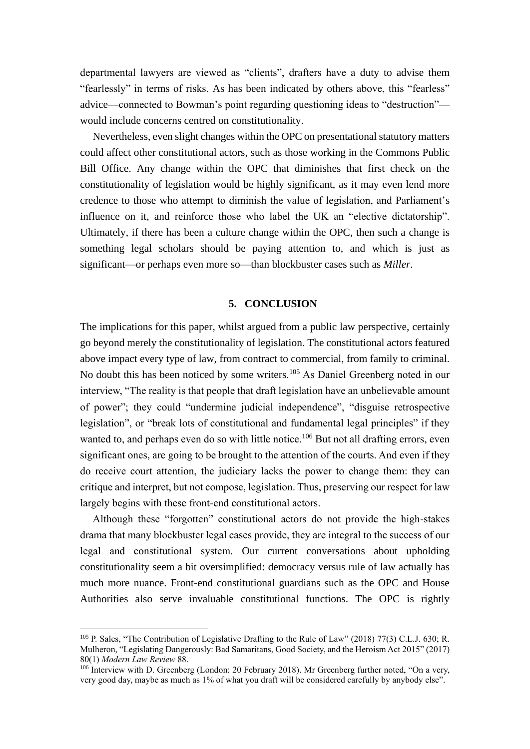departmental lawyers are viewed as "clients", drafters have a duty to advise them "fearlessly" in terms of risks. As has been indicated by others above, this "fearless" advice—connected to Bowman's point regarding questioning ideas to "destruction" would include concerns centred on constitutionality.

Nevertheless, even slight changes within the OPC on presentational statutory matters could affect other constitutional actors, such as those working in the Commons Public Bill Office. Any change within the OPC that diminishes that first check on the constitutionality of legislation would be highly significant, as it may even lend more credence to those who attempt to diminish the value of legislation, and Parliament's influence on it, and reinforce those who label the UK an "elective dictatorship". Ultimately, if there has been a culture change within the OPC, then such a change is something legal scholars should be paying attention to, and which is just as significant—or perhaps even more so—than blockbuster cases such as *Miller*.

### **5. CONCLUSION**

The implications for this paper, whilst argued from a public law perspective, certainly go beyond merely the constitutionality of legislation. The constitutional actors featured above impact every type of law, from contract to commercial, from family to criminal. No doubt this has been noticed by some writers.<sup>105</sup> As Daniel Greenberg noted in our interview, "The reality is that people that draft legislation have an unbelievable amount of power"; they could "undermine judicial independence", "disguise retrospective legislation", or "break lots of constitutional and fundamental legal principles" if they wanted to, and perhaps even do so with little notice.<sup>106</sup> But not all drafting errors, even significant ones, are going to be brought to the attention of the courts. And even if they do receive court attention, the judiciary lacks the power to change them: they can critique and interpret, but not compose, legislation. Thus, preserving our respect for law largely begins with these front-end constitutional actors.

Although these "forgotten" constitutional actors do not provide the high-stakes drama that many blockbuster legal cases provide, they are integral to the success of our legal and constitutional system. Our current conversations about upholding constitutionality seem a bit oversimplified: democracy versus rule of law actually has much more nuance. Front-end constitutional guardians such as the OPC and House Authorities also serve invaluable constitutional functions. The OPC is rightly

<sup>105</sup> P. Sales, "The Contribution of Legislative Drafting to the Rule of Law" (2018) 77(3) C.L.J. 630; R. Mulheron, "Legislating Dangerously: Bad Samaritans, Good Society, and the Heroism Act 2015" (2017) 80(1) *Modern Law Review* 88.

<sup>&</sup>lt;sup>106</sup> Interview with D. Greenberg (London: 20 February 2018). Mr Greenberg further noted, "On a very, very good day, maybe as much as 1% of what you draft will be considered carefully by anybody else".